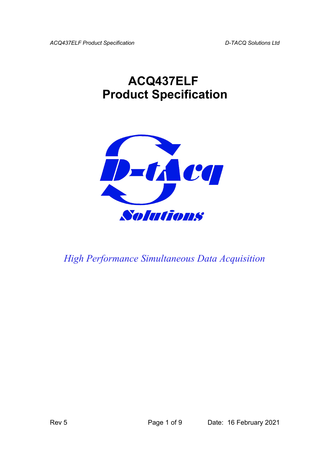*ACQ437ELF Product Specification D-TACQ Solutions Ltd*

## **ACQ437ELF Product Specification**



*High Performance Simultaneous Data Acquisition*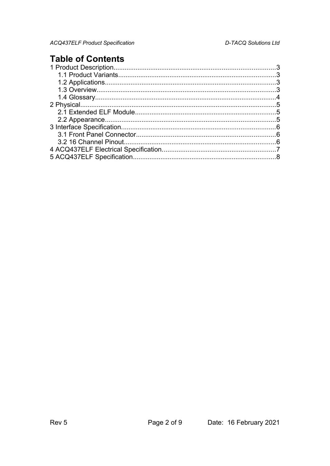## **Table of Contents**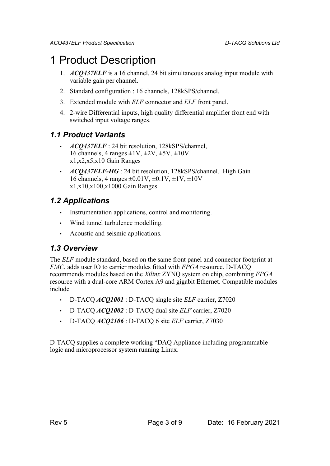## 1 Product Description

- 1. *ACQ437ELF* is a 16 channel, 24 bit simultaneous analog input module with variable gain per channel.
- 2. Standard configuration : 16 channels, 128kSPS/channel.
- 3. Extended module with *ELF* connector and *ELF* front panel.
- 4. 2-wire Differential inputs, high quality differential amplifier front end with switched input voltage ranges.

### *1.1 Product Variants*

- *ACQ437ELF* : 24 bit resolution, 128kSPS/channel, 16 channels, 4 ranges  $\pm 1V$ ,  $\pm 2V$ ,  $\pm 5V$ ,  $\pm 10V$ x1,x2,x5,x10 Gain Ranges
- *ACQ437ELF-HG* : 24 bit resolution, 128kSPS/channel, High Gain 16 channels, 4 ranges  $\pm 0.01V$ ,  $\pm 0.1V$ ,  $\pm 1V$ ,  $\pm 10V$ x1,x10,x100,x1000 Gain Ranges

### *1.2 Applications*

- Instrumentation applications, control and monitoring.
- Wind tunnel turbulence modelling.
- Acoustic and seismic applications.

#### *1.3 Overview*

The *ELF* module standard, based on the same front panel and connector footprint at *FMC*, adds user IO to carrier modules fitted with *FPGA* resource. D-TACQ recommends modules based on the *Xilinx* ZYNQ system on chip, combining *FPGA* resource with a dual-core ARM Cortex A9 and gigabit Ethernet. Compatible modules include

- D-TACQ *ACQ1001* : D-TACQ single site *ELF* carrier, Z7020
- D-TACQ *ACQ1002* : D-TACQ dual site *ELF* carrier, Z7020
- D-TACQ *ACQ2106* : D-TACQ 6 site *ELF* carrier, Z7030

D-TACQ supplies a complete working "DAQ Appliance including programmable logic and microprocessor system running Linux.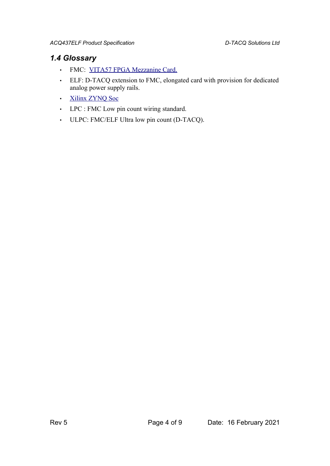### *1.4 Glossary*

- FMC: [VITA57 FPGA Mezzanine Card.](http://www.vita.com/fmc.html)
- ELF: D-TACQ extension to FMC, elongated card with provision for dedicated analog power supply rails.
- • [Xilinx ZYNQ Soc](http://www.xilinx.com/products/silicon-devices/soc/zynq-7000/index.htm)
- LPC : FMC Low pin count wiring standard.
- ULPC: FMC/ELF Ultra low pin count (D-TACQ).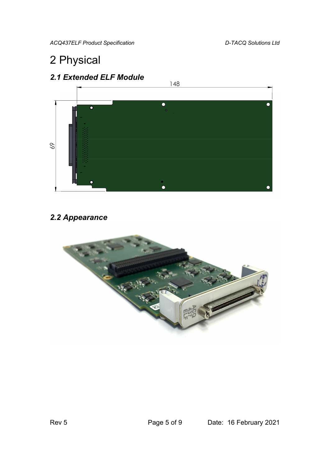*ACQ437ELF Product Specification D-TACQ Solutions Ltd*

## 2 Physical



## *2.2 Appearance*

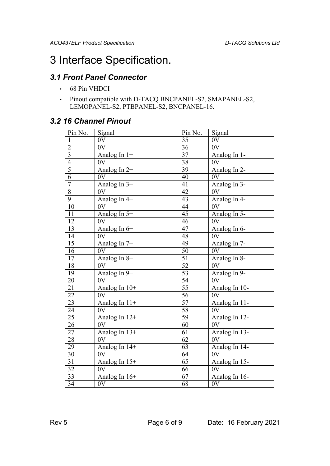## 3 Interface Specification.

### *3.1 Front Panel Connector*

- 68 Pin VHDCI
- Pinout compatible with D-TACQ BNCPANEL-S2, SMAPANEL-S2, LEMOPANEL-S2, PTBPANEL-S2, BNCPANEL-16.

### *3.2 16 Channel Pinout*

| Pin No.        | Signal          | Pin No.         | Signal        |
|----------------|-----------------|-----------------|---------------|
| 1              | 0V              | 35              | 0V            |
| $\overline{2}$ | 0V              | 36              | 0V            |
| $\overline{3}$ | Analog In $1+$  | 37              | Analog In 1-  |
| $\overline{4}$ | 0V              | 38              | 0V            |
| $\overline{5}$ | Analog In 2+    | 39              | Analog In 2-  |
| $\overline{6}$ | 0V              | 40              | 0V            |
| $\overline{7}$ | Analog In $3+$  | 41              | Analog In 3-  |
| $\overline{8}$ | 0V              | 42              | 0V            |
| $\overline{9}$ | Analog In 4+    | 43              | Analog In 4-  |
| 10             | 0V              | 44              | 0V            |
| 11             | Analog In 5+    | $\overline{45}$ | Analog In 5-  |
| 12             | 0V              | 46              | 0V            |
| 13             | Analog In 6+    | 47              | Analog In 6-  |
| 14             | 0V              | $\overline{48}$ | 0V            |
| 15             | Analog In 7+    | 49              | Analog In 7-  |
| 16             | 0V              | 50              | 0V            |
| 17             | Analog In $8+$  | $\overline{51}$ | Analog In 8-  |
| 18             | 0V              | 52              | 0V            |
| 19             | Analog In 9+    | 53              | Analog In 9-  |
| 20             | 0V              | 54              | 0V            |
| 21             | Analog In $10+$ | $\overline{55}$ | Analog In 10- |
| 22             | 0V              | 56              | 0V            |
| 23             | Analog In $11+$ | $\overline{57}$ | Analog In 11- |
| 24             | 0V              | $\overline{58}$ | 0V            |
| 25             | Analog In 12+   | 59              | Analog In 12- |
| 26             | 0V              | 60              | 0V            |
| 27             | Analog In $13+$ | 61              | Analog In 13- |
| 28             | 0V              | 62              | 0V            |
| 29             | Analog In 14+   | 63              | Analog In 14- |
| 30             | 0V              | 64              | 0V            |
| 31             | Analog In 15+   | $\overline{65}$ | Analog In 15- |
| 32             | 0V              | 66              | 0V            |
| 33             | Analog In 16+   | 67              | Analog In 16- |
| 34             | 0V              | 68              | 0V            |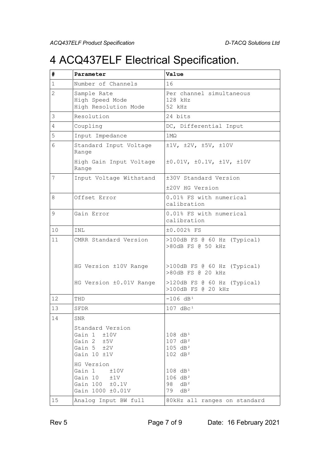## 4 ACQ437ELF Electrical Specification.

| #                 | Parameter                                                                            | Value                                                                                   |  |
|-------------------|--------------------------------------------------------------------------------------|-----------------------------------------------------------------------------------------|--|
| $\mathbf{1}$      | Number of Channels                                                                   | 16                                                                                      |  |
| 2                 | Sample Rate<br>High Speed Mode<br>High Resolution Mode                               | Per channel simultaneous<br>$128$ kHz<br>52 kHz                                         |  |
| 3                 | Resolution                                                                           | 24 bits                                                                                 |  |
| 4                 | Coupling                                                                             | DC, Differential Input                                                                  |  |
| 5                 | Input Impedance                                                                      | $1 \text{M}\Omega$                                                                      |  |
| 6                 | Standard Input Voltage<br>Range                                                      | $\pm 1$ V, $\pm 2$ V, $\pm 5$ V, $\pm 10$ V                                             |  |
|                   | High Gain Input Voltage<br>Range                                                     | $\pm 0.01V$ , $\pm 0.1V$ , $\pm 1V$ , $\pm 10V$                                         |  |
| 7                 | Input Voltage Withstand                                                              | ±30V Standard Version                                                                   |  |
|                   |                                                                                      | ±20V HG Version                                                                         |  |
| 8                 | Offset Error                                                                         | 0.01% FS with numerical<br>calibration                                                  |  |
| 9                 | Gain Error                                                                           | 0.01% FS with numerical<br>calibration                                                  |  |
| 10                | INL                                                                                  | ±0.002% FS                                                                              |  |
| 11                | CMRR Standard Version                                                                | $>100dB$ FS @ 60 Hz (Typical)<br>>80dB FS @ 50 kHz                                      |  |
|                   | HG Version ±10V Range                                                                | $>100dB$ FS @ 60 Hz (Typical)<br>>80dB FS @ 20 kHz                                      |  |
|                   | HG Version ±0.01V Range                                                              | $>120dB$ FS @ 60 Hz (Typical)<br>>100dB FS @ 20 kHz                                     |  |
| $12 \overline{ }$ | THD                                                                                  | $-106$ dB <sup>1</sup>                                                                  |  |
| 13                | SFDR                                                                                 | $107 \text{ d} \text{B} \text{c}^1$                                                     |  |
| 14                | SNR                                                                                  |                                                                                         |  |
|                   | Standard Version<br>Gain $1 + 10V$<br>Gain 2 ±5V<br>Gain $5 + 2V$<br>Gain 10 ±1V     | 108 dB <sup>1</sup><br>107 dB <sup>2</sup><br>105 dB <sup>2</sup><br>$102 \text{ dB}^2$ |  |
|                   | HG Version<br>Gain 1<br>±10V<br>Gain 10<br>±1V<br>Gain 100 ±0.1V<br>Gain 1000 ±0.01V | 108 dB <sup>1</sup><br>106 dB <sup>2</sup><br>98 $dB^2$<br>$79$ dB <sup>2</sup>         |  |
| 15                | Analog Input BW full                                                                 | 80kHz all ranges on standard                                                            |  |

Rev 5 **Page 7 of 9** Date: 16 February 2021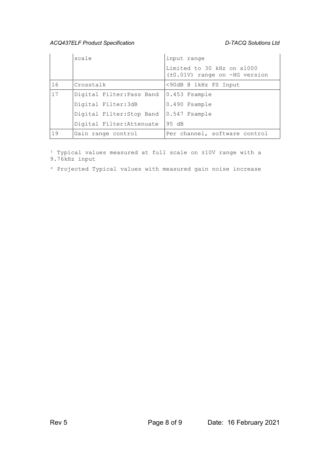#### *ACQ437ELF Product Specification D-TACQ Solutions Ltd*

|    | scale                     | input range                                                        |
|----|---------------------------|--------------------------------------------------------------------|
|    |                           | Limited to 30 kHz on x1000<br>$(\pm 0.01V)$ range on $-HG$ version |
| 16 | Crosstalk                 | <90dB @ 1kHz FS Input                                              |
| 17 | Digital Filter: Pass Band | $ 0.453$ $F$ sample                                                |
|    | Digital Filter:3dB        | 0.490 Fsample                                                      |
|    | Digital Filter: Stop Band | $ 0.547$ Fsample                                                   |
|    | Digital Filter: Attenuate | 95 dB                                                              |
| 19 | Gain range control        | Per channel, software control                                      |

<sup>1</sup> Typical values measured at full scale on ±10V range with a 9.76kHz input

² Projected Typical values with measured gain noise increase